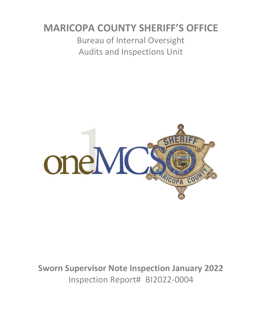# **MARICOPA COUNTY SHERIFF'S OFFICE**

Bureau of Internal Oversight Audits and Inspections Unit



**Sworn Supervisor Note Inspection January 2022** Inspection Report# BI2022-0004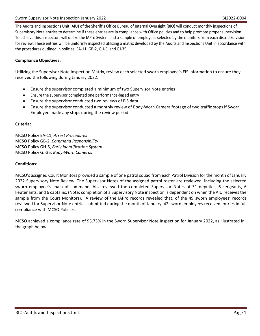The Audits and Inspections Unit (AIU) of the Sheriff's Office Bureau of Internal Oversight (BIO) will conduct monthly inspections of Supervisory Note entries to determine if these entries are in compliance with Office policies and to help promote proper supervision. To achieve this, inspectors will utilize the IAPro System and a sample of employees selected by the monitors from each district/division for review. These entries will be uniformly inspected utilizing a matrix developed by the Audits and Inspections Unit in accordance with the procedures outlined in policies, EA-11, GB-2, GH-5, and GJ-35.

### **Compliance Objectives:**

Utilizing the Supervisor Note Inspection Matrix, review each selected sworn employee's EIS information to ensure they received the following during January 2022:

- Ensure the supervisor completed a minimum of two Supervisor Note entries
- Ensure the supervisor completed one performance-based entry
- Ensure the supervisor conducted two reviews of EIS data
- Ensure the supervisor conducted a monthly review of Body-Worn Camera footage of two traffic stops if Sworn Employee made any stops during the review period

### **Criteria:**

MCSO Policy EA-11, *Arrest Procedures* MCSO Policy GB-2, *Command Responsibility* MCSO Policy GH-5, *Early Identification System* MCSO Policy GJ-35, *Body-Worn Cameras*

### **Conditions:**

MCSO's assigned Court Monitors provided a sample of one patrol squad from each Patrol Division for the month of January 2022 Supervisory Note Review. The Supervisor Notes of the assigned patrol roster are reviewed, including the selected sworn employee's chain of command. AIU reviewed the completed Supervisor Notes of 31 deputies, 6 sergeants, 6 lieutenants, and 6 captains. (Note: completion of a Supervisory Note inspection is dependent on when the AIU receives the sample from the Court Monitors). A review of the IAPro records revealed that, of the 49 sworn employees' records reviewed for Supervisor Note entries submitted during the month of January, 42 sworn employees received entries in full compliance with MCSO Policies.

MCSO achieved a compliance rate of 95.73% in the Sworn Supervisor Note inspection for January 2022, as illustrated in the graph below: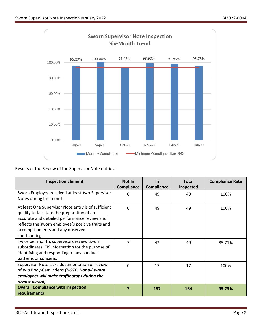

Results of the Review of the Supervisor Note entries:

| <b>Inspection Element</b>                                                                                                                                                                                                                                   | Not In<br>Compliance | <b>In</b><br>Compliance | <b>Total</b><br>Inspected | <b>Compliance Rate</b> |
|-------------------------------------------------------------------------------------------------------------------------------------------------------------------------------------------------------------------------------------------------------------|----------------------|-------------------------|---------------------------|------------------------|
| Sworn Employee received at least two Supervisor<br>Notes during the month                                                                                                                                                                                   | $\Omega$             | 49                      | 49                        | 100%                   |
| At least One Supervisor Note entry is of sufficient<br>quality to facilitate the preparation of an<br>accurate and detailed performance review and<br>reflects the sworn employee's positive traits and<br>accomplishments and any observed<br>shortcomings | $\Omega$             | 49                      | 49                        | 100%                   |
| Twice per month, supervisors review Sworn<br>subordinates' EIS information for the purpose of<br>identifying and responding to any conduct<br>patterns or concerns                                                                                          | $\overline{7}$       | 42                      | 49                        | 85.71%                 |
| Supervisor Note lacks documentation of review<br>of two Body-Cam videos (NOTE: Not all sworn<br>employees will make traffic stops during the<br>review period)                                                                                              | $\Omega$             | 17                      | 17                        | 100%                   |
| <b>Overall Compliance with inspection</b><br>requirements                                                                                                                                                                                                   | 7                    | 157                     | 164                       | 95.73%                 |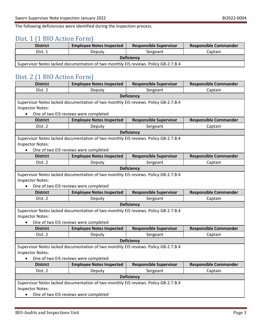The following deficiencies were identified during the inspection process.

### Dist. 1 (1 BIO Action Form)

| <b>District</b>                                                                     | <b>Employee Notes Inspected</b> | <b>Responsible Supervisor</b> | <b>Responsible Commander</b> |  |  |
|-------------------------------------------------------------------------------------|---------------------------------|-------------------------------|------------------------------|--|--|
| Dist. 1                                                                             | Deputy                          | Sergeant                      | Captain                      |  |  |
| <b>Deficiency</b>                                                                   |                                 |                               |                              |  |  |
| Supervisor Notes lacked documentation of two monthly EIS reviews. Policy GB-2.7.B.4 |                                 |                               |                              |  |  |

## Dist. 2 (1 BIO Action Form)

| <b>District</b>                                                                     | <b>Employee Notes Inspected</b>                                                     | <b>Responsible Supervisor</b> | <b>Responsible Commander</b> |  |  |  |
|-------------------------------------------------------------------------------------|-------------------------------------------------------------------------------------|-------------------------------|------------------------------|--|--|--|
| Dist. 2                                                                             | Deputy                                                                              | Sergeant                      | Captain                      |  |  |  |
| <b>Deficiency</b>                                                                   |                                                                                     |                               |                              |  |  |  |
| Supervisor Notes lacked documentation of two monthly EIS reviews. Policy GB-2.7.B.4 |                                                                                     |                               |                              |  |  |  |
| <b>Inspector Notes:</b>                                                             |                                                                                     |                               |                              |  |  |  |
| $\bullet$                                                                           | One of two EIS reviews were completed                                               |                               |                              |  |  |  |
| <b>District</b>                                                                     | <b>Employee Notes Inspected</b>                                                     | <b>Responsible Supervisor</b> | <b>Responsible Commander</b> |  |  |  |
| Dist. 2                                                                             | Deputy                                                                              | Sergeant                      | Captain                      |  |  |  |
| Deficiency                                                                          |                                                                                     |                               |                              |  |  |  |
|                                                                                     | Supervisor Notes lacked documentation of two monthly EIS reviews. Policy GB-2.7.B.4 |                               |                              |  |  |  |
| <b>Inspector Notes:</b>                                                             |                                                                                     |                               |                              |  |  |  |
|                                                                                     | One of two EIS reviews were completed                                               |                               |                              |  |  |  |
| <b>District</b>                                                                     | <b>Employee Notes Inspected</b>                                                     | <b>Responsible Supervisor</b> | <b>Responsible Commander</b> |  |  |  |
| Dist. 2                                                                             | Deputy                                                                              | Sergeant                      | Captain                      |  |  |  |
|                                                                                     |                                                                                     | <b>Deficiency</b>             |                              |  |  |  |
|                                                                                     | Supervisor Notes lacked documentation of two monthly EIS reviews. Policy GB-2.7.B.4 |                               |                              |  |  |  |
| <b>Inspector Notes:</b>                                                             |                                                                                     |                               |                              |  |  |  |
| One of two EIS reviews were completed                                               |                                                                                     |                               |                              |  |  |  |
|                                                                                     |                                                                                     |                               |                              |  |  |  |
| <b>District</b>                                                                     | <b>Employee Notes Inspected</b>                                                     | <b>Responsible Supervisor</b> | <b>Responsible Commander</b> |  |  |  |
| Dist. 2                                                                             | Deputy                                                                              | Sergeant                      | Captain                      |  |  |  |
|                                                                                     |                                                                                     | <b>Deficiency</b>             |                              |  |  |  |
|                                                                                     | Supervisor Notes lacked documentation of two monthly EIS reviews. Policy GB-2.7.B.4 |                               |                              |  |  |  |
| <b>Inspector Notes:</b>                                                             |                                                                                     |                               |                              |  |  |  |
|                                                                                     | One of two EIS reviews were completed                                               |                               |                              |  |  |  |
| <b>District</b>                                                                     | <b>Employee Notes Inspected</b>                                                     | <b>Responsible Supervisor</b> | <b>Responsible Commander</b> |  |  |  |
| Dist. 2                                                                             | Deputy                                                                              | Sergeant                      | Captain                      |  |  |  |
|                                                                                     |                                                                                     | <b>Deficiency</b>             |                              |  |  |  |
|                                                                                     | Supervisor Notes lacked documentation of two monthly EIS reviews. Policy GB-2.7.B.4 |                               |                              |  |  |  |
| <b>Inspector Notes:</b>                                                             |                                                                                     |                               |                              |  |  |  |
| $\bullet$                                                                           | One of two EIS reviews were completed                                               |                               |                              |  |  |  |
| <b>District</b>                                                                     | <b>Employee Notes Inspected</b>                                                     | <b>Responsible Supervisor</b> | <b>Responsible Commander</b> |  |  |  |
| Dist. 2                                                                             | Deputy                                                                              | Sergeant                      | Captain                      |  |  |  |
|                                                                                     |                                                                                     | Deficiency                    |                              |  |  |  |
|                                                                                     | Supervisor Notes lacked documentation of two monthly EIS reviews. Policy GB-2.7.B.4 |                               |                              |  |  |  |
| <b>Inspector Notes:</b>                                                             | One of two EIS reviews were completed                                               |                               |                              |  |  |  |